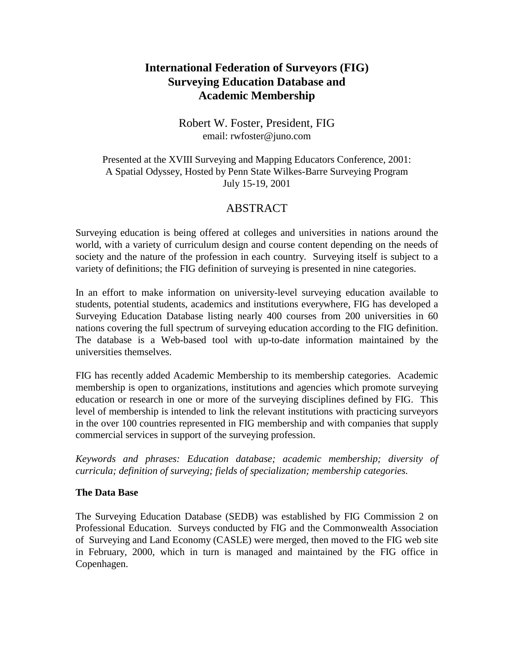# **International Federation of Surveyors (FIG) Surveying Education Database and Academic Membership**

### Robert W. Foster, President, FIG email: rwfoster@juno.com

Presented at the XVIII Surveying and Mapping Educators Conference, 2001: A Spatial Odyssey, Hosted by Penn State Wilkes-Barre Surveying Program July 15-19, 2001

## ABSTRACT

Surveying education is being offered at colleges and universities in nations around the world, with a variety of curriculum design and course content depending on the needs of society and the nature of the profession in each country. Surveying itself is subject to a variety of definitions; the FIG definition of surveying is presented in nine categories.

In an effort to make information on university-level surveying education available to students, potential students, academics and institutions everywhere, FIG has developed a Surveying Education Database listing nearly 400 courses from 200 universities in 60 nations covering the full spectrum of surveying education according to the FIG definition. The database is a Web-based tool with up-to-date information maintained by the universities themselves.

FIG has recently added Academic Membership to its membership categories. Academic membership is open to organizations, institutions and agencies which promote surveying education or research in one or more of the surveying disciplines defined by FIG. This level of membership is intended to link the relevant institutions with practicing surveyors in the over 100 countries represented in FIG membership and with companies that supply commercial services in support of the surveying profession.

*Keywords and phrases: Education database; academic membership; diversity of curricula; definition of surveying; fields of specialization; membership categories.*

#### **The Data Base**

The Surveying Education Database (SEDB) was established by FIG Commission 2 on Professional Education. Surveys conducted by FIG and the Commonwealth Association of Surveying and Land Economy (CASLE) were merged, then moved to the FIG web site in February, 2000, which in turn is managed and maintained by the FIG office in Copenhagen.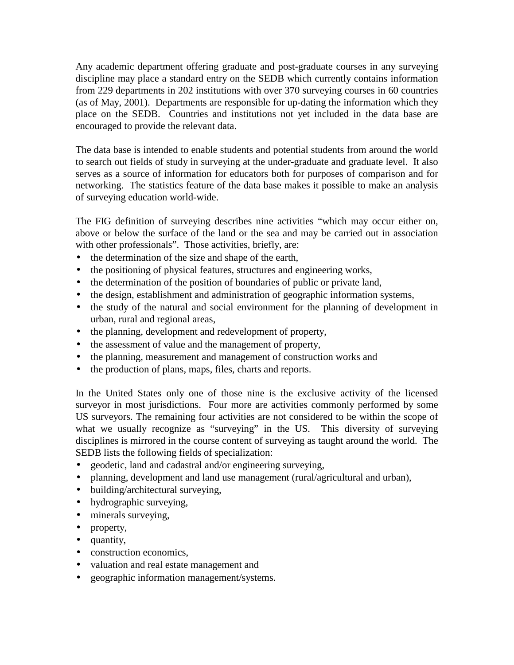Any academic department offering graduate and post-graduate courses in any surveying discipline may place a standard entry on the SEDB which currently contains information from 229 departments in 202 institutions with over 370 surveying courses in 60 countries (as of May, 2001). Departments are responsible for up-dating the information which they place on the SEDB. Countries and institutions not yet included in the data base are encouraged to provide the relevant data.

The data base is intended to enable students and potential students from around the world to search out fields of study in surveying at the under-graduate and graduate level. It also serves as a source of information for educators both for purposes of comparison and for networking. The statistics feature of the data base makes it possible to make an analysis of surveying education world-wide.

The FIG definition of surveying describes nine activities "which may occur either on, above or below the surface of the land or the sea and may be carried out in association with other professionals". Those activities, briefly, are:

- the determination of the size and shape of the earth,
- the positioning of physical features, structures and engineering works,
- the determination of the position of boundaries of public or private land,
- the design, establishment and administration of geographic information systems,
- the study of the natural and social environment for the planning of development in urban, rural and regional areas,
- the planning, development and redevelopment of property,
- the assessment of value and the management of property,
- the planning, measurement and management of construction works and
- the production of plans, maps, files, charts and reports.

In the United States only one of those nine is the exclusive activity of the licensed surveyor in most jurisdictions. Four more are activities commonly performed by some US surveyors. The remaining four activities are not considered to be within the scope of what we usually recognize as "surveying" in the US. This diversity of surveying disciplines is mirrored in the course content of surveying as taught around the world. The SEDB lists the following fields of specialization:

- geodetic, land and cadastral and/or engineering surveying,
- planning, development and land use management (rural/agricultural and urban),
- building/architectural surveying,
- hydrographic surveying,
- minerals surveying,
- property,
- quantity,
- construction economics,
- valuation and real estate management and
- geographic information management/systems.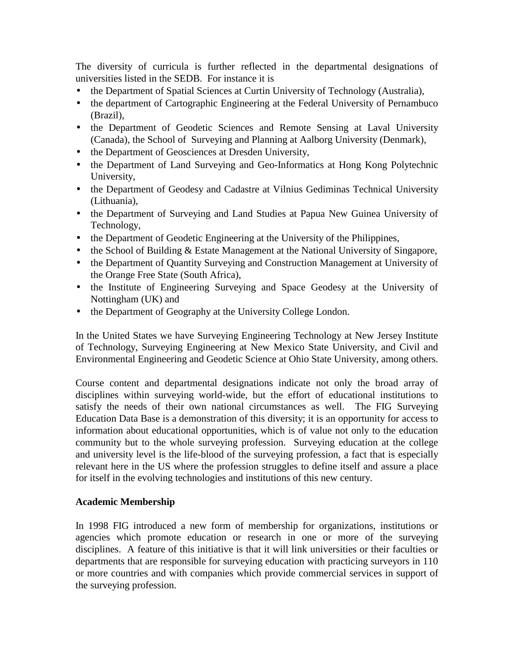The diversity of curricula is further reflected in the departmental designations of universities listed in the SEDB. For instance it is

- the Department of Spatial Sciences at Curtin University of Technology (Australia),
- the department of Cartographic Engineering at the Federal University of Pernambuco (Brazil),
- the Department of Geodetic Sciences and Remote Sensing at Laval University (Canada), the School of Surveying and Planning at Aalborg University (Denmark),
- the Department of Geosciences at Dresden University,
- the Department of Land Surveying and Geo-Informatics at Hong Kong Polytechnic University,
- the Department of Geodesy and Cadastre at Vilnius Gediminas Technical University (Lithuania),
- the Department of Surveying and Land Studies at Papua New Guinea University of Technology,
- the Department of Geodetic Engineering at the University of the Philippines,
- the School of Building & Estate Management at the National University of Singapore,
- the Department of Quantity Surveying and Construction Management at University of the Orange Free State (South Africa),
- the Institute of Engineering Surveying and Space Geodesy at the University of Nottingham (UK) and
- the Department of Geography at the University College London.

In the United States we have Surveying Engineering Technology at New Jersey Institute of Technology, Surveying Engineering at New Mexico State University, and Civil and Environmental Engineering and Geodetic Science at Ohio State University, among others.

Course content and departmental designations indicate not only the broad array of disciplines within surveying world-wide, but the effort of educational institutions to satisfy the needs of their own national circumstances as well. The FIG Surveying Education Data Base is a demonstration of this diversity; it is an opportunity for access to information about educational opportunities, which is of value not only to the education community but to the whole surveying profession. Surveying education at the college and university level is the life-blood of the surveying profession, a fact that is especially relevant here in the US where the profession struggles to define itself and assure a place for itself in the evolving technologies and institutions of this new century.

#### **Academic Membership**

In 1998 FIG introduced a new form of membership for organizations, institutions or agencies which promote education or research in one or more of the surveying disciplines. A feature of this initiative is that it will link universities or their faculties or departments that are responsible for surveying education with practicing surveyors in 110 or more countries and with companies which provide commercial services in support of the surveying profession.